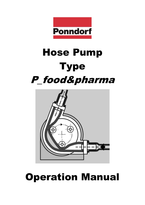

# Hose Pump Type P\_food&pharma



# Operation Manual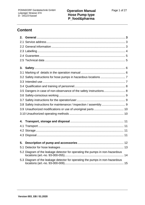## **Content**

| 2. |                                                                              |  |
|----|------------------------------------------------------------------------------|--|
|    |                                                                              |  |
|    |                                                                              |  |
|    |                                                                              |  |
|    |                                                                              |  |
|    |                                                                              |  |
| 3. |                                                                              |  |
|    |                                                                              |  |
|    |                                                                              |  |
|    |                                                                              |  |
|    |                                                                              |  |
|    |                                                                              |  |
|    | 3.5 Dangers in case of non-observance of the safety instructions 8           |  |
|    |                                                                              |  |
|    |                                                                              |  |
|    |                                                                              |  |
|    |                                                                              |  |
|    |                                                                              |  |
|    |                                                                              |  |
| 4. |                                                                              |  |
|    |                                                                              |  |
|    |                                                                              |  |
|    |                                                                              |  |
| 5. |                                                                              |  |
|    |                                                                              |  |
|    |                                                                              |  |
|    | 5.2 Diagram of the leakage detector for operating the pumps in non-hazardous |  |
|    | 5.3 Diagram of the leakage detector for operating the pumps in non-hazardous |  |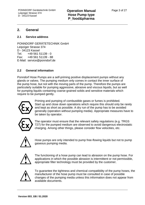## <span id="page-4-0"></span>**2. General**

#### <span id="page-4-1"></span>**2.1 Service address**

PONNDORF GERÄTETECHNIK GmbH Leipziger Strasse 374 D - 34123 Kassel Tel. +49 561 51139 - 0 Fax: +49 561 51139 - 88 E-Mail: service@ponndorf.de

#### <span id="page-4-2"></span>**2.2 General information**

Ponndorf Hose Pumps are a self-priming positive displacement pumps without any glands or valves. The pumping medium only comes in contact the inner surface of the pump hose, but not with the moving parts of the pump. Therefore the pumps are particularly suitable for pumping aggressive, abrasive and viscous liquids, but as well for pumping liquids containing coarse-grained solids and sensitive materials which require to be pumped gently.



Priming and pumping of combustible gases or fumes is prohibited. Start up and close down operations which require this should only be rarely and kept as short as possible. A dry run of the pump has to be avoided generally (operation without pumping media). Appropriate measures have to be taken by operator.



The operator must ensure that the relevant safety regulations (e.g. TRGS 727) for the pumped medium are observed to avoid dangerous electrostatic charging. Among other things, please consider flow velocities, etc.



Hose pumps are only intended to pump free-flowing liquids but not to pump gaseous pumping media.



The functioning of a hose pump can lead to abrasion on the pump hose. For applications in which the possible abrasion is intermittent or not permissible, appropriate filter technology must be provided by the customer.



To guarantee the tightness and chemical compatibility of the pump hoses, the manufacturer of the hose pump must be consulted in case of possible changes of the pumping media unless this information does not appear from available documents.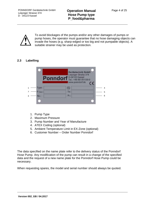

To avoid blockages of the pumps and/or any other damages of pumps or pump hoses, the operator must guarantee that no hose damaging objects can invade the hoses (e.g. sharp-edged or too big and not pumpable objects). A suitable strainer may be used as protection.

## <span id="page-5-0"></span>**2.3 Labelling**



- 1. Pump Type
- 2. Maximum Pressure
- 3. Pump Number and Year of Manufacture
- 4. ATEX Coding (optional)
- 5. Ambient Temperature Limit in EX-Zone (optional)
- 6. Customer Number Order Number Ponndorf

The data specified on the name plate refer to the delivery status of the Ponndorf Hose Pump. Any modification of the pump can result in a change of the specified data and the request of a new name plate for the Ponndorf Hose Pump could be necessary.

When requesting spares, the model and serial number should always be quoted.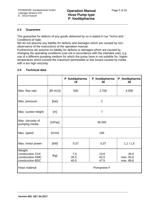#### <span id="page-6-0"></span>**2.4 Guarantee**

The guarantee for defects of any goods delivered by us is stated in our Terms and Conditions of Sale.

We do not assume any liability for defects and damages which are caused by nonobservance of the instructions of the operation manual.

Furthermore we assume no liability for defects or damages which are caused by changing the operating conditions (use not in accordance with the intended use), e.g. use of a different pumping medium for which the pump hose is not suitable for, higher temperature which exceed the maximum permissible or line losses caused by media with a too high viscosity.

|                                                                     |                | P_food&pharma<br>19   | P_food&pharma<br>30  | P_food&pharma<br>35            |  |
|---------------------------------------------------------------------|----------------|-----------------------|----------------------|--------------------------------|--|
| Max. flow rate:                                                     | [ $I/h H_2O$ ] | 500<br>2.700<br>4.000 |                      |                                |  |
| Max. pressure:                                                      | [bar]          | $\overline{2}$        |                      |                                |  |
| Max. suction height:                                                | [m]            | $\overline{7}$        |                      |                                |  |
| Max. viscosity of<br>pumping media:                                 | [mPas]         | 35.000                |                      |                                |  |
| Max. speed                                                          | [n/min]        | 165                   |                      |                                |  |
| Max. motor power:                                                   | [kW]           | 0,37                  | 0,37                 | 1, 1 / 1, 5                    |  |
| Weight:<br>construction XXX<br>construction GMC<br>construction BDC | [kg]           | 7,0<br>35,5<br>40,5   | 13,0<br>42,5<br>47,5 | 26,0<br>max. 92,6<br>max. 89,6 |  |
| Hose material                                                       |                | Ponnprene F           |                      |                                |  |

#### <span id="page-6-1"></span>**2.5 Technical data**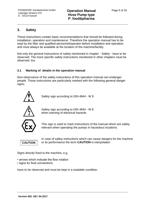## <span id="page-7-0"></span>**3. Safety**

These instructions contain basic recommendations that should be followed during installation, operation and maintenance. Therefore the operation manual has to be read by the fitter and qualified personnel/operator before installation and operation and must always be available at the location of the machine/facility.

Not only the general instructions of safety mentioned in chapter - Safety - have to be observed. The more specific safety instructions mentioned in other chapters must be observed, too.

#### <span id="page-7-1"></span>**3.1 Marking of details in the operation manual**

Non-observance of the safety instructions of this operation manual can endanger people. Those instructions are particularly marked with the following general danger signs:



Safety sign according to DIN 4844 - W 9



Safety sign according to DIN 4844 - W 8 when warning of electrical hazards



This sign is used to mark instructions of the manual which are safety relevant when operating the pumps in hazardous locations.

## **CAUTION**

In case of safety instructions which can cause dangers for the machine or its performance the term **CAUTION** is interpolated.

Signs directly fixed to the machine, e.g.

- arrows which indicate the flow rotation
- signs for fluid connections

have to be observed and must be kept in a readable condition.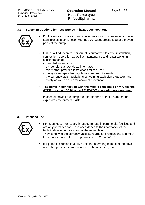#### <span id="page-8-0"></span>**3.2 Safety instructions for hose pumps in hazardous locations**



- Explosive gas mixture or dust concentration can cause serious or even fatal injuries in conjunction with hot, voltaged, pressurized and moved parts of the pump
- Only qualified technical personnel is authorized to effect installation, connection, operation as well as maintenance and repair works in consideration of
	- provided instructions
	- danger signs and/or decal information
	- every other provided instructions for the user
	- the system-dependent regulations and requirements
	- the currently valid regulations concerning explosion protection and safety as well as rules for accident prevention

#### • **The pump in connection with the mobile base plate only fulfils the ATEX directive (EC Directive 2014/34/EC) in a stationary condition.**

In case of moving the pump the operator has to make sure that no explosive environment exists!

#### <span id="page-8-1"></span>**3.3 Intended use**



- Ponndorf Hose Pumps are intended for use in commercial facilities and are only permitted for use in accordance to the information of the technical documentation and of the nameplate. They comply to the currently valid standards and regulations and meet the requirements of the European directive 2014/34/EC.
- If a pump is coupled to a drive unit, the operating manual of the drive and other provided components must be observed, too.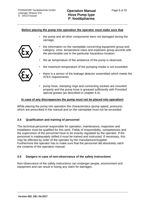#### **Before placing the pump into operation the operator must make sure that**

• the pump and all other components were not damaged during the carriage.



- the information on the nameplate concerning equipment group and category, zone, temperature class and explosion group accords with the permissible use in the particular hazardous location.
- the air temperature of the ambience of the pump is observed.
- the maximum temperature of the pumping media is not exceeded.



- there is a sensor of the leakage detector assembled which meets the ATEX requirements.
- pump hose, clamping rings and connecting sockets are mounted properly and the pump hose is greased sufficiently with Ponndorf special grease (as described in chapter 6.4).

#### **In case of any discrepancies the pump must not be placed into operation!**

While placing the pump into operation the characteristics (pump speed, pressure) which are prescribed in the manual and on the nameplate must not be exceeded.

#### <span id="page-9-0"></span>**3.4 Qualification and training of personnel**

The technical personnel responsible for operation, maintenance, inspection and installation must be qualified for this work. Fields of responsibility, competencies and the supervision of the personnel have to be exactly regulated by the operator. If the personnel is inadequately skilled it must be trained and instructed. If necessary, this may be effected by order of the operator by the manufacturer/supplier. Furthermore the operator has to make sure that the personnel did absolutely catch the contents of the operation manual.

#### <span id="page-9-1"></span>**3.5 Dangers in case of non-observance of the safety instructions**

Non-observance of the safety instructions can endanger people, environment and equipment and can result in losing any claim for damages.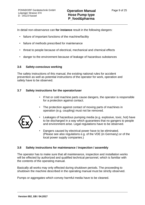In detail non-observance can **for instance** result in the following dangers:

- failure of important functions of the machine/facility
- failure of methods prescribed for maintenance
- threat to people because of electrical, mechanical and chemical effects
- danger to the environment because of leakage of hazardous substances

#### <span id="page-10-0"></span>**3.6 Safety-conscious working**

The safety instructions of this manual, the existing national rules for accident prevention as well as potential instructions of the operator for work, operation and safety have to be observed.

#### <span id="page-10-1"></span>**3.7 Safety instructions for the operator/user**

- If hot or cold machine parts cause dangers, the operator is responsible for a protection against contact.
- The protection against contact of moving parts of machines in operation (e.g. coupling) must not be removed.



- Leakages of hazardous pumping media (e.g. explosive, toxic, hot) have to be discharged in a way which guarantees that no gangers to people and environment arise. Legal regulations have to be observed.
- Dangers caused by electrical power have to be eliminated. (Please see also regulations e.g. of the VDE (in Germany) or of the local power supply companies.)

#### <span id="page-10-2"></span>**3.8 Safety instructions for maintenance / inspection / assembly**

The operator has to make sure that all maintenance, inspection and installation works will be effected by authorized and qualified technical personnel, which is familiar with the contents of the operating manual.

Basically all works may only effected during shutdown periods. The proceeding to shutdown the machine described in the operating manual must be strictly observed.

Pumps or aggregates which convey harmful media have to be cleaned.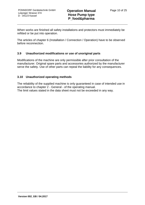When works are finished all safety installations and protectors must immediately be refitted or be put into operation.

The articles of chapter 6 (Installation / Connection / Operation) have to be observed before reconnection.

#### <span id="page-11-0"></span>**3.9 Unauthorized modifications or use of unoriginal parts**

Modifications of the machine are only permissible after prior consultation of the manufacturer. Original spare parts and accessories authorized by the manufacturer serve the safety. Use of other parts can repeal the liability for any consequences.

#### <span id="page-11-1"></span>**3.10 Unauthorized operating methods**

The reliability of the supplied machine is only guaranteed in case of intended use in accordance to chapter 2 - General - of the operating manual. The limit values stated in the data sheet must not be exceeded in any way.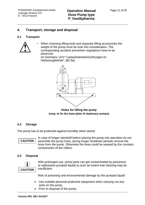## <span id="page-12-0"></span>**4. Transport, storage and disposal**

#### <span id="page-12-1"></span>**4.1 Transport**



• When choosing lifting tools and separate lifting accessories the weight of the pump must be took into consideration. The corresponding accident prevention regulations have to be observed.

(In Germany: UVV "Lastaufnahmeeinrichtungen im Hebezeugbetrieb", BG 9a)



**Holes for lifting the pump (resp. to fix the base plate of stationary pumps)**

#### <span id="page-12-2"></span>**4.2 Storage**

The pump has to be protected against humidity when stored

# **CAUTION**

In case of longer standstill before placing the pump into operation do not assemble the pump hose, during longer shutdown periods remove the hose from the pump. Otherwise the hose could be warped by the constant compression of the rollers!

#### <span id="page-12-3"></span>**4.3 Disposal**



With prolonged use, pump parts can get contaminated by poisonous or radioactive pumped liquids to such an extent that cleaning may be insufficient.

Risk of poisoning and environmental damage by the pumped liquid!

- Use suitable personal protective equipment when carrying out any work on the pump.
- Prior to disposal of the pump: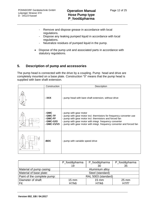- Remove and dispose grease in accordance with local regulations.
- Dispose any leaking pumped liquid in accordance with local regulations.
- Neutralize residues of pumped liquid in the pump.
- Dispose of the pump unit and associated parts in accordance with statutory regulations.

## <span id="page-13-0"></span>**5. Description of pump and accessories**

The pump head is connected with the drive by a coupling. Pump head and drive are completely mounted on a base plate. Construction "0" means that the pump head is supplied with bare shaft extension.

| Construction                                                | Description                                                                                                                                                                                                                                                                                    |
|-------------------------------------------------------------|------------------------------------------------------------------------------------------------------------------------------------------------------------------------------------------------------------------------------------------------------------------------------------------------|
| - XXX                                                       | - pump head with bare shaft extension, without drive                                                                                                                                                                                                                                           |
| - GMC<br>- GMC-TF<br>- GMC-FF<br>- GMC-11/13<br>- GMC-V1/V3 | - pump with gear motor<br>- pump with gear motor incl. thermistors for frequency converter use<br>- pump with gear motor incl. thermistors and forced fan<br>- pump with gear motor with integr. frequency converter<br>- pump with gear motor with integr. frequency converter and forced fan |
| -BDC                                                        | - pump with variable speed drive                                                                                                                                                                                                                                                               |

|                             | P_food&pharma<br>P_food&pharma |                 | P_food&pharma   |  |
|-----------------------------|--------------------------------|-----------------|-----------------|--|
|                             | 19                             | 30              | 35              |  |
| Material of pump casing:    | Aluminium alloy                |                 |                 |  |
| Material of base plate:     | Steel (standard)               |                 |                 |  |
| Paint of the complete pump: | RAL 5003 (standard)            |                 |                 |  |
| Diameter of shaft:          | $15 \text{ mm}$                | $15 \text{ mm}$ | $25 \text{ mm}$ |  |
| Fit:                        | H7/k6                          | H7/k6           | H7/f7           |  |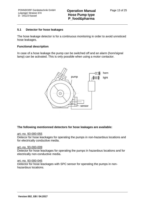#### <span id="page-14-0"></span>**5.1 Detector for hose leakages**

The hose leakage detector is for a continuous monitoring in order to avoid unnoticed hose leakages.

#### **Functional description**

In case of a hose leakage the pump can be switched off and an alarm (horn/signal lamp) can be activated. This is only possible when using a motor contactor.



#### **The following mentionned detectors for hose leakages are available:**

#### art.-no. 93-000-055

Detecor for hose leackages for operating the pumps in non-hazardous locations and for electrically conductive media.

#### art.-no. 93-000-009

Detector for hose leackages for operating the pumps in hazardous locations and for electrically non-conductive media.

#### art.-no. 93-000-045

Detector for hose leackages with SPC sensor for operating the pumps in nonhazardous locations.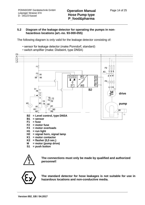#### <span id="page-15-0"></span>**5.2 Diagram of the leakage detector for operating the pumps in nonhazardous locations (art.-no. 93-000-055)**

The following diagram is only valid for the leakage detector consisting of:

- sensor for leakage detector (make Ponndorf, standard)
- switch amplifier (make: Disibeint, type DNSA)



- **K1 = motor contactor**
- **K2 = flasher (0,5 sec.)**
- **M = motor (pump drive)**
- **S1 = push button**



**The connections must only be made by qualified and authorized personnel!** 



**The standard detector for hose leakages is not suitable for use in hazardous locations and non-conductive media.**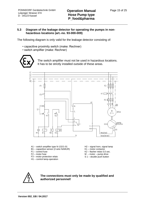#### <span id="page-16-0"></span>**5.3 Diagram of the leakage detector for operating the pumps in nonhazardous locations (art.-no. 93-000-009)**

The following diagram is only valid for the leakage detector consisting of:

- capacitive proximity switch (make: Rechner)
- switch amplifier (make: Rechner)



The switch amplifier must not be used in hazardous locations. It has to be strictly installed outside of these areas.



- A1 switch amplifier type N-132/1-01
- B1 capazitive sensor (2-wire NAMUR)
- F1 control fuse
- F2 motor fuse
- F3 motor protection relais
- H1 control lamp-operation
- H2 signal horn, signal lamp
- K1 motor contactor
- K2 flasher relais 0,5 sec.
- M motor pump drive
- S 1 double push button



**The connections must only be made by qualified and authorized personnel!**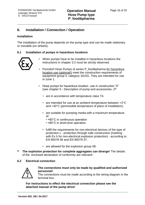## <span id="page-17-0"></span>**6. Installation / Connection / Operation**

#### **Installation**

The installation of the pump depends on the pump type and can be made stationary or movable (on wheels).

#### <span id="page-17-1"></span>**6.1 Installation of pumps in hazardous locations**



- When pumps have to be installed in hazardous locations the instructions in chapter 3.2 must be strictly observed.
- Ponndorf Hose Pumps of series P\_food&pharma for hazardous location use (*optional!*) meet the construction requirements of equipment group II, category 3G/2G. They are intended for use in zone 1.
- Hose pumps for hazardous location use in construction "0" (see chapter 5 - Description of pump and accessories -) **1)**
	- are in accordance with temperature class T4.
	- are intended for use at an ambient temperature between +2°C and +40°C (permissible temperature of place of installation).
	- are suitable for pumping media with a maximum temperature of:
		- +60°C in continuous operation
		- +80°C in short-time operation
	- fulfill the requirements for non-electrical devices of the type of protection c - protection through safe construction (marking with Ex h for non-electrical explosion protection) - according to EN 80079-36 and EN 80079-37.
	- are allowed for the explosion group IIB.
- **1) The explosion protection for complete aggregates can diverge!** The details of the enclosed declaration of conformity are relevant!

#### <span id="page-17-2"></span>**6.2 Electrical connection**



#### **The connections must only be made by qualified and authorized personnel!**

The connections must be made according to the wiring diagram in the terminal box.

**For instructions to effect the electrical connection please see the attached manual of the pump drive!**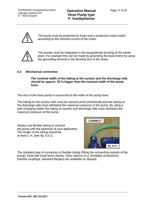PONNDORF Gerätetechnik GmbH Leipziger Strasse 374 D - 34123 Kassel



The pump must be protected by fuses and a protective motor switch according to the nominal current of the motor.



The pumps must be integrated in the equipotential bonding of the whole plant. For example this can be made by grounding the base frame by using the grounding terminal in the terminal box of the motor.

#### <span id="page-18-0"></span>**6.3 Mechanical connection**

**The nominal width of the tubing at the suction and the discharge side should be approx. 25 % bigger than the nominal width of the pump hose.**

The size of the hose pump is concurrent to the width of the pump hose.

The tubing on the suction side must be vacuum proof (reinforced) and the tubing on the discharge side must withstand the maximum pressure of the pump. By using a pole changing switch the tubing on suction and discharge side must withstand the maximum pressure of the pump.

Always use flexible tubing to connect the pump with the pipework of your application. The length of the tubing should be at least 1 m. (see fig. 6.3.1).



The standard way of connection is flexible tubing (fitting the connecting sockets of the pump), fixed with hose band clamps. Other options (e.g. threaded connections, Kamlok couplings, standard flanges) are available on request.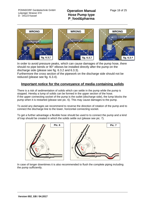

In order to avoid pressure peaks, which can cause damages of the pump hose, there should no pipe bends or 90° elbows be installed directly after the pump on the discharge side (please see fig. 6.3.2 and 6.3.3).

Furthermore the cross section of the pipework on the discharge side should not be reduced (please see fig. 6.3.4).

## **Important notice for the conveyance of media containing solids**

There is a risk of sedimentation of solids which can settle in the pump while the pump is stopped. Hereby a lump of solids can be formed in the upper section of the hose. If the upper connecting socket of the pump is the outlet (discharge side), the lump blocks the pump when it is restarted (please see pic. 6). This may cause damages to the pump.

To avoid any damages we recommend to reverse the direction of rotation of the pump and to connect the discharge line to the lower, horizontal connecting socket.

To get a further advantage a flexible hose should be used to to connect the pump and a kind of trap should be created in which the solids settle out (please see pic. 7).





In case of longer downtimes it is also recommended to flush the complete piping including the pump sufficiently.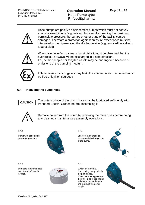PONNDORF Gerätetechnik GmbH Leipziger Strasse 374 D - 34123 Kassel

## **Operation Manual Hose Pump type P\_food&pharma**



Hose pumps are positive displacement pumps which must not convey against closed fittings (e.g. valves). In case of exceeding the maximum permissible pressure, the pumps or other parts of the facility can be damaged. Therefore a protection against pressure exceedance must be integrated in the pipework on the discharge side (e.g. an overflow valve or a burst disk).



When using overflow valves or burst disks it must be observed that the overpressure always will be discharged in a safe direction. I.e., neither people nor tangible assets may be endangered because of emissions of the pumping medium.



If flammable liquids or gases may leak, the affected area of emission must be free of ignition sources !

#### <span id="page-20-0"></span>**6.4 Installing the pump hose**



The outer surface of the pump hose must be lubricated sufficiently with Ponndorf Special Grease before assembling it.



Remove power from the pump by removing the main fuses before doing any cleaning / maintenance / assembly operations.

6.4.1

Pump with assembled connecting sockets



6.4.2

Unscrew the flanges on suction and discharge side of the pump.



6.4.3

Lubricate the pump hose with Ponndorf Special Grease.



6.4.4

Switch on the drive. The rotating pump pulls in the pump hose. When the hose appears on the other side of the casing switch the drive off again and interrupt the power supply.

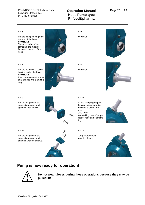PONNDORF Gerätetechnik GmbH Leipziger Strasse 374 D - 34123 Kassel

## **Operation Manual Hose Pump type P\_food&pharma**



## **Pump is now ready for operation!**



**Do not wear gloves during these operations because they may be pulled in!**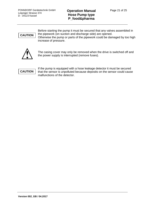

Before starting the pump it must be secured that any valves assembled in the pipework (on suction and discharge side) are opened. Otherwise the pump or parts of the pipework could be damaged by too high increase of pressure.



The casing cover may only be removed when the drive is switched off and the power supply is interrupted (remove fuses).



If the pump is equipped with a hose leakage detector it must be secured that the sensor is unpolluted because deposits on the sensor could cause malfunctions of the detector.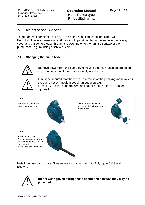## <span id="page-23-0"></span>**7. Maintenance / Service**

To guarantee a constant elasticity of the pump hose it must be lubricated with Ponndorf Special Grease every 300 hours of operation. To do this remove the casing cover and put some grease through the opening onto the running surface of the pump hose (e.g. by using a screw driver).

### <span id="page-23-1"></span>**7.1 Changing the pump hose**



Remove power from the pump by removing the main fuses before doing any cleaning / maintenance / assembly operations !



It must be secured that there are no remains of the pumping medium left in the pump hoses (medium could run out or spray). Especially in case of aggressive and caustic media there is danger of injuries !

7.1.1

Pump with assembled connecting sockets



7.1.2

Unscrew the flanges on suction and discharge side of the pump.



7.1.3

Switch on the drive. The rotating pump pushes out the pump hose (pull, if necessary). Switch the drive off again.



Install the new pump hose. (Please see instructions at point 6.4, figure 6.4.3 and following.)



**Do not wear gloves during these operations because they may be pulled in!**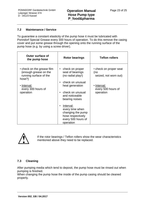#### <span id="page-24-0"></span>**7.2 Maintenance / Service**

To guarantee a constant elasticity of the pump hose it must be lubricated with Ponndorf Special Grease every 300 hours of operation. To do this remove the casing cover and put some grease through the opening onto the running surface of the pump hose (e.g. by using a screw driver).

| <b>Outer surface of</b><br>the pump hose                                                                                                  | Rotor bearings                                                                                                                                                                                                                                                       | <b>Teflon rollers</b>                                                                                    |  |
|-------------------------------------------------------------------------------------------------------------------------------------------|----------------------------------------------------------------------------------------------------------------------------------------------------------------------------------------------------------------------------------------------------------------------|----------------------------------------------------------------------------------------------------------|--|
| • check on the grease film<br>(enough grease on the<br>running surface of the<br>hose?)<br>• Interval:<br>every 300 hours of<br>operation | check on proper<br>seat of bearings<br>(no radial play!)<br>check on unusual<br>heat generation<br>check on unusual<br>and noticeable<br>bearing noises<br>Interval:<br>every time when<br>changing the pump<br>hose respectively<br>every 500 hours of<br>operation | • check on proper seat<br>(no<br>seized, not worn out)<br>• Interval:<br>every 500 hours of<br>operation |  |



If the rotor bearings / Teflon rollers show the wear characteristics mentioned above they need to be replaced.

#### <span id="page-24-1"></span>**7.3 Cleaning**

After pumping media which tend to deposit, the pump hose must be rinsed out when pumping is finished.

When changing the pump hose the inside of the pump casing should be cleaned properly.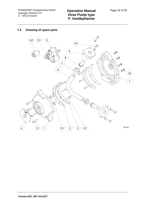## **Operation Manual Hose Pump type P\_food&pharma**

## <span id="page-25-0"></span>**7.4 Drawing of spare parts**

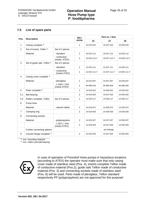## **Operation Manual Hose Pump type P\_food&pharma**

#### <span id="page-26-0"></span>**7.5 List of spare parts**

| Pos.           | <b>Description</b>                    |                                 | Qty.<br>pump   | Part no. / Size |              |              |
|----------------|---------------------------------------|---------------------------------|----------------|-----------------|--------------|--------------|
|                |                                       |                                 |                | 15              | 27           | 35           |
| $\mathbf{1}$   | Casing complete <sup>1)</sup>         |                                 | $\mathbf{1}$   | 10-015-010      | 10-027-010   | 10-035-010   |
| $\overline{2}$ | Set of Inserts, Teflon 1)             | Set of 2 pieces                 |                |                 |              |              |
|                | Material:                             | - standard                      | $\mathbf{1}$   | 10-015-112      | 10-027-112   | 10-035-112   |
|                |                                       | - conductive<br>(meets. ATEX)   | $\mathbf{1}$   | 10-015-112.Y    | 10-027-112.Y | 10-035-112.Y |
| 3              | Set of guide rails, Teflon 1)         | Set of 2 pieces                 |                |                 |              |              |
|                |                                       | - standard                      | $\mathbf{1}$   | 12-015-111      | 12-027-111   | 14-035-111   |
|                |                                       | - conductive<br>(meets ATEX)    | $\mathbf{1}$   | 12-015-111.Y    | 12-027-111.Y | 14-035-111.Y |
| 4              | Casing cover complete <sup>1)</sup>   |                                 |                |                 |              |              |
|                | Material:                             | - plexiglass                    | $\mathbf{1}$   | 10-015-007      | 10-027-007   | 10-035-007   |
|                |                                       | $-1.4301 / V2A$<br>(meets ATEX) | $\mathbf{1}$   | 94-080-016      | 94-080-028   | 94-080-036   |
| 5              | Rotor complete <sup>2)</sup>          |                                 | $\mathbf{1}$   | 14-019-022      | 14-030-022   | 14-035-022   |
| 5.1            | <b>Ball bearing</b>                   |                                 | $\overline{2}$ | 10-015-020      | 10-027-020   | 10-035-020   |
| 5.2            | Rollers complete, Teflon              | Set of 3 pieces                 | $\mathbf{1}$   | 14-019-117      | 14-030-117   | 14-035-117   |
| 6              | Pump hose                             |                                 |                |                 |              |              |
|                | Material:                             | - natural rubber                | $\mathbf{1}$   | 14-019-072      | 14-030-072   | 14-035-072   |
| $\overline{7}$ | Clamping ring                         |                                 | $\overline{2}$ | 14-019-026      | 14-030-026   | 14-035-026   |
| 8              | Connecting sockets                    |                                 |                |                 |              |              |
|                | Material:                             | - polypropylene                 | $\overline{2}$ | 14-019-027      | 10-027-027   | 14-035-027   |
|                |                                       | $-1.4571 / V4A$<br>(meets ATEX) | $\overline{c}$ | 14-019-029      | 10-027-029   | 14-035-029   |
|                | Further connecting options            |                                 |                | auf Anfrage     |              |              |
| 9              | Counter flange complete <sup>1)</sup> |                                 | $\overline{c}$ | 12-015-025      | 12-027-025   | 12-035-025   |

<sup>1)</sup> incl. mounting material

2) incl. rollers and ball bearing



In case of operation of Ponndorf Hose pumps in hazardous locations (according to ATEX) the operator must make sure that only casing cover made of stainless steel (Pos. 4), inserts complete Teflon made of conductive material (Pos.2), guide rails Teflon made of conductive material (Pos. 3) and connecting sockets made of stainless steel (Pos. 8) will be used. Parts made of plexiglass, Teflon standard respectively PP (polypropylene) are not approved for this purpose!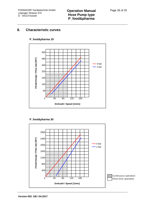### <span id="page-27-0"></span>**8. Characteristic curves**

#### **P\_food&pharma 19**



#### **P\_food&pharma 30**

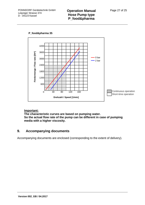PONNDORF Gerätetechnik GmbH Leipziger Strasse 374 D - 34123 Kassel

## **Operation Manual Hose Pump type P\_food&pharma**



#### **P\_food&pharma 35**

#### **Important:**

**The characteristic curves are based on pumping water. So the actual flow rate of the pump can be different in case of pumping media with a higher viscosity.** 

## <span id="page-28-0"></span>**9. Accompanying documents**

Accompanying documents are enclosed (corresponding to the extent of delivery).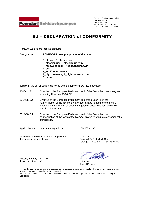Ponndorf Gerätetechnik GmbH Leipziger Str. 374 D-37123 Kassel Phone: +49 (0)561 / 51139-0 Fax: +49 (0)561 / 51139-88

# **EU – DECLARATION of CONFORMITY**

Herewith we declare that the products

Designation: **PONNDORF hose pump units of the type**

**P\_classic; P\_classic twin P\_classicplus; P\_classicplus twin P\_food&pharma; P\_food&pharma twin P\_eco P\_eco/food&pharma P\_high pressure, P\_high pressure twin P\_delta**

comply in the constructions delivered with the following EC / EU directives

- 2006/42/EC Directive of the European Parliament and of the Council on machinery and amending Directive 95/16/EC
- 2014/35/EU Directive of the European Parliament and of the Council on the harmonisation of the laws of the Member States relating to the making available on the market of electrical equipment designed for use within certain voltage limits
- 2014/30/EU Directive of the European Parliament and of the Council on the harmonisation of the laws of the Member States relating to electromagnetic compatibility

Applied, harmonized standards, in particular: - FN 809 A1/AC

Authorized representative for the completion of Till Völker the technical documentation : Ponndorf Gerätetechnik GmbH

Leipziger Straße 374, D – 34123 Kassel

Kassel, January 02, 2020 (Place and date of issue) Till Völker

General Manager

This declaration is no warrant of properties for the purpose of the product liability. The safety instructions of the operating manual provided must be observed! If the above mentioned series are technically modified without our approval, this declaration shall no longer be

applicable.